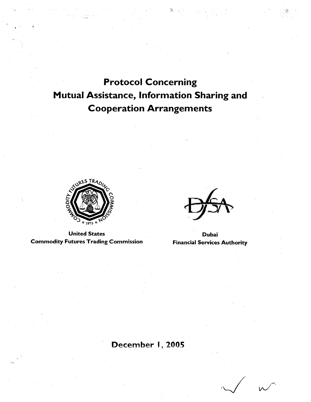# Protocol Concerning Mutual Assistance, Information Sharing and Cooperation Arrangements



United States<br>utures Trading Commission Financial Services Authority **Commodity Futures Trading Commission** 

## December I, 2005

*,J* \;'\ .... /.'""".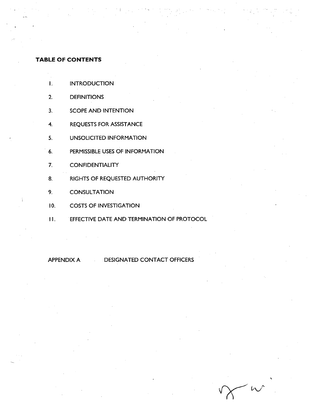## **TABLE OF CONTENTS**

- I. INTRODUCTION
- 2. DEFINITIONS
- 3. SCOPE AND INTENTION
- 4. REQUESTS FOR ASSISTANCE
- 5. UNSOLICITED INFORMATION
- . 6. PERMISSIBLE USES OF INFORMATION
- 7. CONFIDENTIALITY
- 8. RIGHTS OF REQUESTED AUTHORITY
- 9. CONSULTATION
- 10. COSTS OF INVESTIGATION
- II. EFFECTIVE DATE AND TERMINATION OF PROTOCOL

## APPENDIX A DESIGNATED CONTACT OFFICERS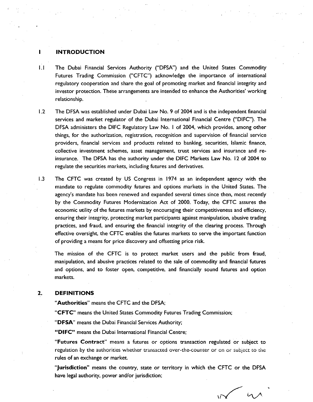#### INTRODUCTION

- 1.1 The Dubai Financial Services Authority ("DFSA") and the United States Commodity Futures Trading Commission ("CFTC") acknowledge the importance of international regulatory cooperation and share the goal of promoting market and financial integrity and investor protection. These arrangements are intended to enhance the Authorities' working relationship.
- 1.2 The DFSA was established under Dubai Law No. 9 of 2004 and is the independent financial services and market regulator of the Dubai International Financial Centre ("DIFC"). The DFSA administers the DIFC Regulatory Law No. 1 of 2004, which provides, among other things, for the authorization, registration, recognition and supervision of financial service providers, financial services and products related to banking, securities, Islamic finance, collective investment schemes, asset management, trust services and insurance and reinsurance. The DFSA has the authority under the DIFC Markets Law No. 12 of 2004 to regulate the securities markets, including futures and derivatives.
- 1.3 The CFTC was created by US Congress in 1974 as an independent agency with the mandate to regulate commodity futures and options markets in the United States. The agency's mandate has been renewed and expanded several times since then, most recently by the Commodity Futures Modernization Act of 2000. Today, the CFTC assures the economic utility of the futures markets by encouraging their competitiveness and efficiency, ensuring their integrity, protecting market participants against manipulation, abusive trading practices, and fraud, and ensuring the financial integrity of the clearing process. Through effective oversight, the CFTC enables the futures markets to serve the important function of providing a means for price discovery and offsetting price risk.

The mission of the CFTC is to protect market users and the public from fraud, manipulation, and abusive practices related to the sale of commodity and financial futures and options, and to foster open, competitive, and financially sound futures and option markets.

#### 2. DEFINITIONS

"Authorities" means the CFTC and the DFSA;

"CFTC" means the United States Commodity Futures Trading Commission;

"DFSA" means the Dubai Financial Services Authority;

"DIFC" means the Dubai International Financial Centre;

"Futures Contract" means a futures or options transaction regulated or subject to regulation by the authorities whether transacted over-the-counter or on or subject to the rules of an exchange or market.

"Jurisdiction" means the country, state or territory in which the CFTC or the DFSA have legal authority, power and/or jurisdiction;

 $\sqrt{2}$ 

 $\mathcal{U}$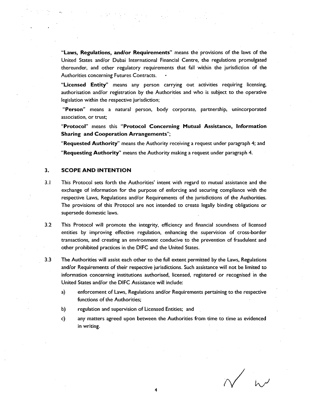"laws, Regulations, and/or Requirements" means the provisions of the laws of the United States and/or Dubai International Financial Centre, the regulations promulgated thereunder, and other regulatory requirements that fall within the jurisdiction of the Authorities concerning Futures Contracts.

"Licensed Entity" means any person carrying out activities requiring licensing, authorisation and/or registration by the Authorities and who is subject to the operative legislation within the respective jurisdiction;

"Person" means a natural person, body corporate, partnership, unincorporated association, or trust;

"Protocol" means this "Protocol Concerning Mutual Assistance, Information Sharing and Cooperation Arrangements";

"Requested Authority" means the Authority receiving a request under paragraph 4; and "Requesting Authority" means the Authority making a request under paragraph 4.

#### 3. SCOPE AND INTENTION

- 3.1 This Protocol sets forth the Authorities' intent with regard to mutual assistance and the exchange of information for the purpose of enforcing and securing compliance with the respective laws, Regulations and/or Requirements of the jurisdictions of the Authorities. The provisions of this Protocol are not intended to create legally binding obligations or supersede domestic laws.
- 3.2 This Protocol will promote the integrity, efficiency and financial soundness of licensed entities by improving effective regulation, enhancing the supervision of cross-border transactions, and creating an environment conducive to the prevention of fraudulent and other prohibited practices in the DIFC and the United States.
- 3.3 The Authorities will assist each other to the full extent permitted by the Laws, Regulations and/or Requirements of their respective jurisdictions. Such assistance will not be limited to information concerning institutions authorised, licensed, registered or recognised in the United States and/or the DIFC Assistance will include:
	- a) enforcement of Laws, Regulations and/or Requirements pertaining to the respective functions of the Authorities;
	- b) regulation and supervision of Licensed Entities; and
	- c) any matters agreed upon between the Authorities from time to time as evidenced in writing.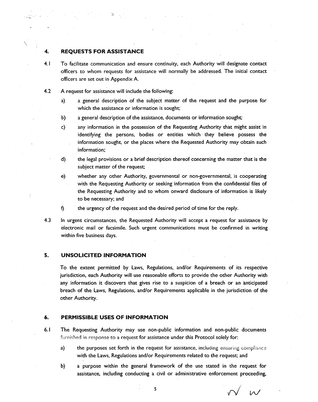#### **4. REQUESTS FOR ASSISTANCE**

- 4.1 To facilitate communication and ensure continuity, each Authority will designate contact officers to whom requests for assistance will normally be addressed. The initial contact officers are set out in Appendix A.
- 4.2 A request for assistance will include the following:
	- a) a general description of the subject matter of the request and the purpose for which the assistance or information is sought;
	- b) a general description of the assistance, documents or information sought;
	- c) any information in the possession of the Requesting Authority that might assist in identifying the persons, bodies or entities which they believe possess the information sought, or the places where the Requested Authority may obtain such information;
	- d) the legal provisions or a brief description thereof concerning the matter that is the subject matter of the request;
	- e) whether any other Authority, governmental or non-governmental, is cooperating with the Requesting Authority or seeking information from the confidential files of the Requesting Authority and to whom onward disclosure of information is likely to be necessary; and
	- f) the urgency of the request and the desired period of time for the reply.

:-··,. .. ··.

\

4.3 In urgent circumstances, the Requested Authority will accept a request for assistance by electronic mail or facsimile. Such urgent communications must be confirmed in writing within five business days.

## **5. UNSOLICITED INFORMATION**

To the extent permitted by Laws, Regulations, and/or Requirements of its respective jurisdiction, each Authority will use reasonable efforts to provide the other Authority with any information it discovers that gives rise to a suspicion of a breach or an anticipated breach of the Laws, Regulations, and/or Requirements applicable in the jurisdiction of the other Authority.

#### **6. PERMISSIBLE USES OF INFORMATION**

- 6.1 The Requesting Authority may use non-public information and non-public documents furnished in response to a request for assistance under this Protocol solely for:
	- a) the purposes set forth in the request for assistance, including ensuring compliance with the Laws, Regulations and/or Requirements related to the request; and
	- b) a purpose within the general framework of the use stated in the request for assistance, including conducting a civil or administrative enforcement proceeding,

 $\overline{M}$ 

5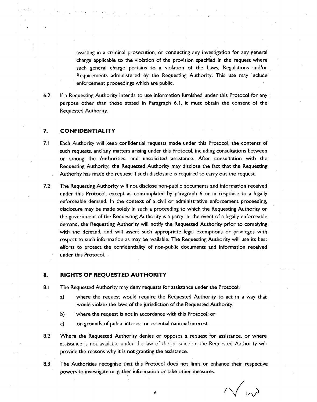assisting in a criminal prosecution, or conducting any investigation for any general charge applicable to the violation of the provision specified in the request where such general charge pertains to a violation of the Laws, Regulations and/or Requirements administered by the Requesting Authority. This use may include enforcement proceedings which are public.

6.2 If a Requesting Authority intends to use information furnished under this Protocol for any purpose other than those stated in Paragraph 6.1, it must obtain the consent of the Requested Authority.

## **7. CONFIDENTIALITY**

- 7.1 Each Authority will keep confidential requests made under this Protocol, the contents of such requests, and any matters arising under this Protocol, including consultations between or among the Authorities, and unsolicited assistance. After consultation with the Requesting Authority, the Requested Authority may disclose the fact that the Requesting Authority has made the request if such disclosure is required to carry out the request.
- 7.2 The Requesting Authority will not disclose non-public documents and information received under this Protocol, except as contemplated by paragraph 6 or in response to a legally enforceable demand. In the context of a civil or administrative enforcement proceeding, disclosure may be made solely in such a proceeding to which the Requesting Authority or the government of the Requesting Authority is a party. In the event of a legally enforceable demand, the Requesting Authority will notify the Requested Authority prior to complying with the demand, and will assert such appropriate legal exemptions or privileges with respect to such information as may be available. The Requesting Authority will use its best efforts to protect the confidentiality of non-public documents and information received under this Protocol.

#### **8. RIGHTS OF REQUESTED AUTHORITY**

- 8.1 The Requested Authority may deny requests for assistance under the Protocol:
	- a) where the request would require the Requested Authority to act in a way that would violate the laws of the jurisdiction of the Requested Authority;
	- b) where the request is not in accordance with this Protocol; or
	- c) on grounds of public interest or essential national interest.
- 8.2 Where the Requested Authority denies or opposes a request for assistance, or where assistance is not available under the law of the jurisdiction, the Requested Authority will provide the reasons why it is not granting the assistance.
- 8.3 The Authorities recognise that this Protocol does not limit or enhance their respective powers to investigate or gather information or take other measures.

 $\sqrt{\omega}$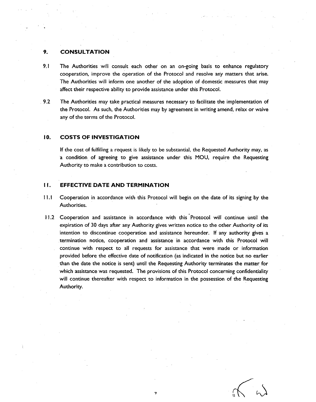## **9. CONSULTATION**

- 9.1 The Authorities will consult each other on an on-going basis to enhance regulatory cooperation, improve the operation of the Protocol and resolve any matters that arise. The Authorities will inform one another of the adoption of domestic measures that may affect their respective ability to provide assistance under this Protocol.
- 9.2 The Authorities may take practical measures necessary to facilitate the implementation of the Protocol. As such, the Authorities may by agreement in writing amend, relax or waive any of the terms of the Protocol.

#### **10. COSTS OF INVESTIGATION**

If the cost of fulfilling a request is likely to be substantial, the Requested Authority may, as a condition. of agreeing to give assistance. under this MOU, require the Requesting Authority to make a contribution to costs.

## II. **EFFECTIVE DATE AND TERMINATION**

- I 1.1 Cooperation in accordance with this Protocol will begin on the date of its signing by the Authorities.
- I 1.2 Cooperation and assistance in accordance with this Protocol will continue until the expiration of 30 days after any Authority gives written notice to the other Authority of its intention to discontinue cooperation and assistance hereunder. If any authority gives a termination notice, cooperation and assistance in accordance with this Protocol will continue with respect to all requests for assistance that were made or information provided before the effective date of notification (as indicated in the notice but no earlier than the date the notice is sent) until the Requesting Authority terminates the matter for which assistance was requested. The provisions of this Protocol concerning confidentiality will continue thereafter with respect to information in the possession of the Requesting Authority.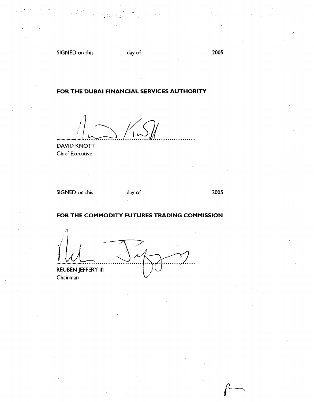SIGNED on this day of

2005

## FOR THE DUBAI FINANCIAL SERVICES AUTHORITY

 $^{\prime}$  1 *.............* ./~{-~ *...* !{~{ *.................. .* 

DAVID KNOTT **Chief Executive** 

SIGNED on this day of

2005

## FOR THE COMMODITY FUTURES TRADING COMMISSION

**REUBEN JEFFERY III** Chairman